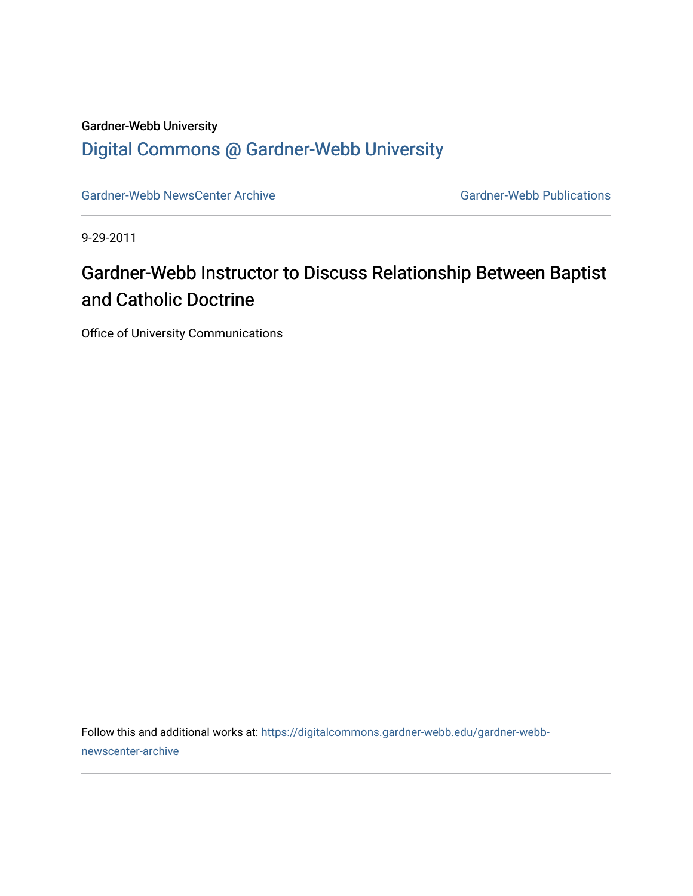## Gardner-Webb University [Digital Commons @ Gardner-Webb University](https://digitalcommons.gardner-webb.edu/)

[Gardner-Webb NewsCenter Archive](https://digitalcommons.gardner-webb.edu/gardner-webb-newscenter-archive) Gardner-Webb Publications

9-29-2011

## Gardner-Webb Instructor to Discuss Relationship Between Baptist and Catholic Doctrine

Office of University Communications

Follow this and additional works at: [https://digitalcommons.gardner-webb.edu/gardner-webb](https://digitalcommons.gardner-webb.edu/gardner-webb-newscenter-archive?utm_source=digitalcommons.gardner-webb.edu%2Fgardner-webb-newscenter-archive%2F2033&utm_medium=PDF&utm_campaign=PDFCoverPages)[newscenter-archive](https://digitalcommons.gardner-webb.edu/gardner-webb-newscenter-archive?utm_source=digitalcommons.gardner-webb.edu%2Fgardner-webb-newscenter-archive%2F2033&utm_medium=PDF&utm_campaign=PDFCoverPages)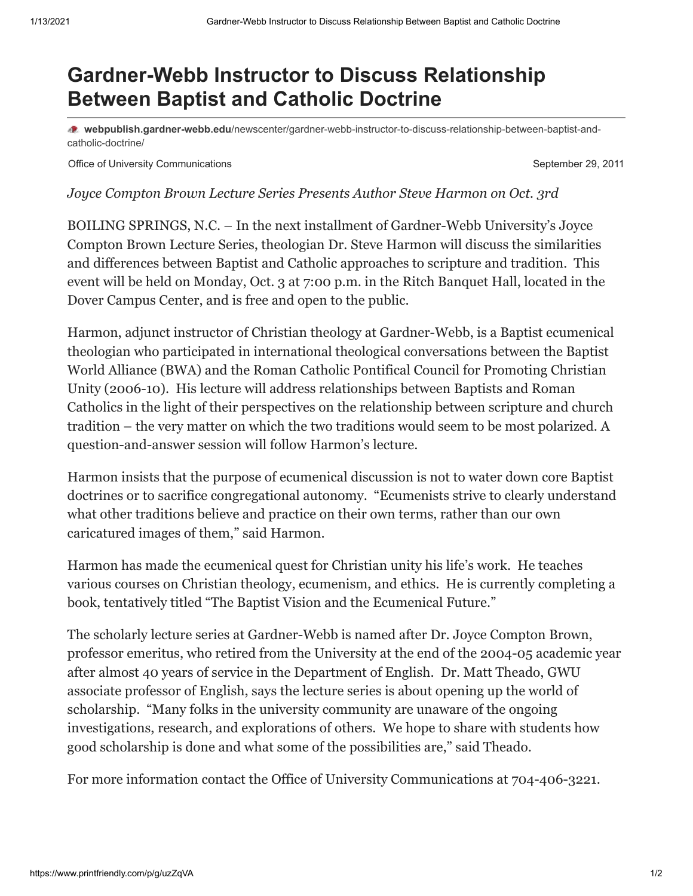## **Gardner-Webb Instructor to Discuss Relationship Between Baptist and Catholic Doctrine**

**webpublish.gardner-webb.edu**[/newscenter/gardner-webb-instructor-to-discuss-relationship-between-baptist-and](https://webpublish.gardner-webb.edu/newscenter/gardner-webb-instructor-to-discuss-relationship-between-baptist-and-catholic-doctrine/)catholic-doctrine/

Office of University Communications **September 29, 2011** 

*Joyce Compton Brown Lecture Series Presents Author Steve Harmon on Oct. 3rd*

BOILING SPRINGS, N.C. – In the next installment of Gardner-Webb University's Joyce Compton Brown Lecture Series, theologian Dr. Steve Harmon will discuss the similarities and differences between Baptist and Catholic approaches to scripture and tradition. This event will be held on Monday, Oct. 3 at 7:00 p.m. in the Ritch Banquet Hall, located in the Dover Campus Center, and is free and open to the public.

Harmon, adjunct instructor of Christian theology at Gardner-Webb, is a Baptist ecumenical theologian who participated in international theological conversations between the Baptist World Alliance (BWA) and the Roman Catholic Pontifical Council for Promoting Christian Unity (2006-10). His lecture will address relationships between Baptists and Roman Catholics in the light of their perspectives on the relationship between scripture and church tradition – the very matter on which the two traditions would seem to be most polarized. A question-and-answer session will follow Harmon's lecture.

Harmon insists that the purpose of ecumenical discussion is not to water down core Baptist doctrines or to sacrifice congregational autonomy. "Ecumenists strive to clearly understand what other traditions believe and practice on their own terms, rather than our own caricatured images of them," said Harmon.

Harmon has made the ecumenical quest for Christian unity his life's work. He teaches various courses on Christian theology, ecumenism, and ethics. He is currently completing a book, tentatively titled "The Baptist Vision and the Ecumenical Future."

The scholarly lecture series at Gardner-Webb is named after Dr. Joyce Compton Brown, professor emeritus, who retired from the University at the end of the 2004-05 academic year after almost 40 years of service in the Department of English. Dr. Matt Theado, GWU associate professor of English, says the lecture series is about opening up the world of scholarship. "Many folks in the university community are unaware of the ongoing investigations, research, and explorations of others. We hope to share with students how good scholarship is done and what some of the possibilities are," said Theado.

For more information contact the Office of University Communications at 704-406-3221.